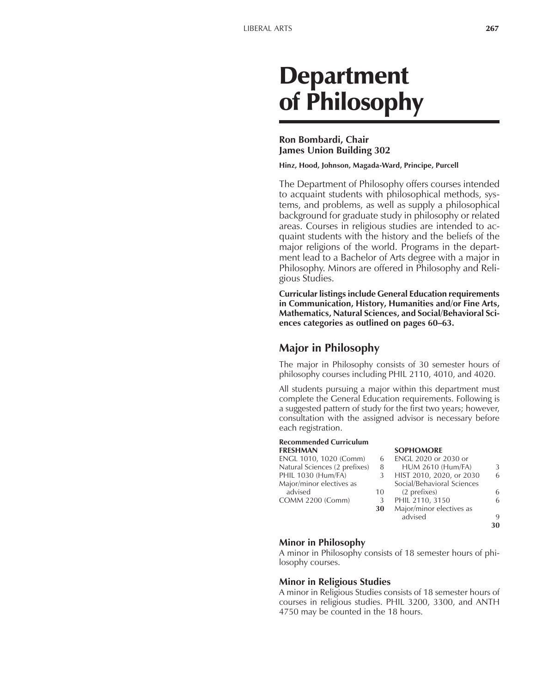# Department of Philosophy

#### **Ron Bombardi, Chair James Union Building 302**

**Hinz, Hood, Johnson, Magada-Ward, Principe, Purcell**

The Department of Philosophy offers courses intended to acquaint students with philosophical methods, systems, and problems, as well as supply a philosophical background for graduate study in philosophy or related areas. Courses in religious studies are intended to acquaint students with the history and the beliefs of the major religions of the world. Programs in the department lead to a Bachelor of Arts degree with a major in Philosophy. Minors are offered in Philosophy and Religious Studies.

**Curricular listings include General Education requirements in Communication, History, Humanities and/or Fine Arts, Mathematics, Natural Sciences, and Social/Behavioral Sci**ences categories as outlined on pages 60–63.

# **Major in Philosophy**

The major in Philosophy consists of 30 semester hours of philosophy courses including PHIL 2110, 4010, and 4020.

All students pursuing a major within this department must complete the General Education requirements. Following is a suggested pattern of study for the first two years; however, consultation with the assigned advisor is necessary before each registration.

**FRESHMAN SOPHOMORE**

# **Recommended Curriculum**

| ENGL 1010, 1020 (Comm)        | 6  | ENGL 2020 or 2030 or       |    |
|-------------------------------|----|----------------------------|----|
| Natural Sciences (2 prefixes) | 8  | <b>HUM 2610 (Hum/FA)</b>   | 3  |
| PHIL 1030 (Hum/FA)            | 3  | HIST 2010, 2020, or 2030   | 6  |
| Major/minor electives as      |    | Social/Behavioral Sciences |    |
| advised                       | 10 | (2 prefixes)               | 6  |
| COMM 2200 (Comm)              | 3  | PHIL 2110, 3150            | 6  |
|                               | 30 | Major/minor electives as   |    |
|                               |    | advised                    | 9  |
|                               |    |                            | 30 |
|                               |    |                            |    |

#### **Minor in Philosophy**

A minor in Philosophy consists of 18 semester hours of philosophy courses.

#### **Minor in Religious Studies**

A minor in Religious Studies consists of 18 semester hours of courses in religious studies. PHIL 3200, 3300, and ANTH 4750 may be counted in the 18 hours.